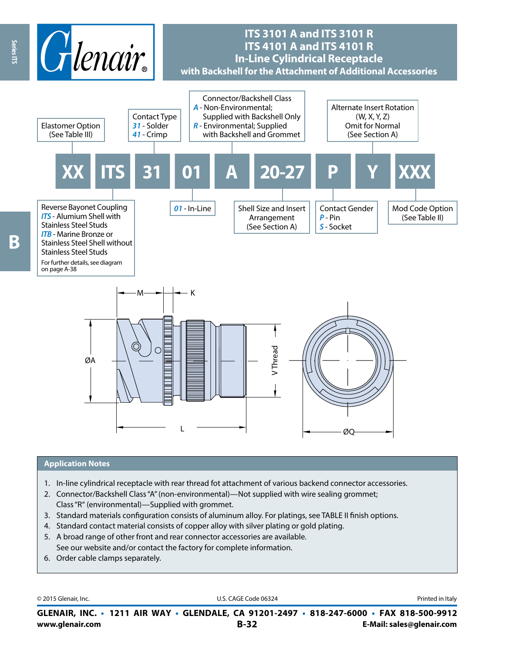

## **ITS 3101 A and ITS 3101 R ITS 4101 A and ITS 4101 R In-Line Cylindrical Receptacle with Backshell for the Attachment of Additional Accessories**



### **Application Notes**

- 1. In-line cylindrical receptacle with rear thread fot attachment of various backend connector accessories.
- 2. Connector/Backshell Class "A" (non-environmental)—Not supplied with wire sealing grommet; Class "R" (environmental)—Supplied with grommet.
- 3. Standard materials configuration consists of aluminum alloy. For platings, see TABLE II finish options.
- 4. Standard contact material consists of copper alloy with silver plating or gold plating.
- 5. A broad range of other front and rear connector accessories are available. See our website and/or contact the factory for complete information.
- 6. Order cable clamps separately.

© 2015 Glenair, Inc. **Discription Construction Construction Construction Construction Construction Construction Construction Construction Construction Construction Construction Construction Construction Construction Constr** 

**www.glenair.com B-32 E-Mail: sales@glenair.com GLENAIR, INC. • 1211 AIR WAY • GLENDALE, CA 91201-2497 • 818-247-6000 • FAX 818-500-9912**

**Series ITS**